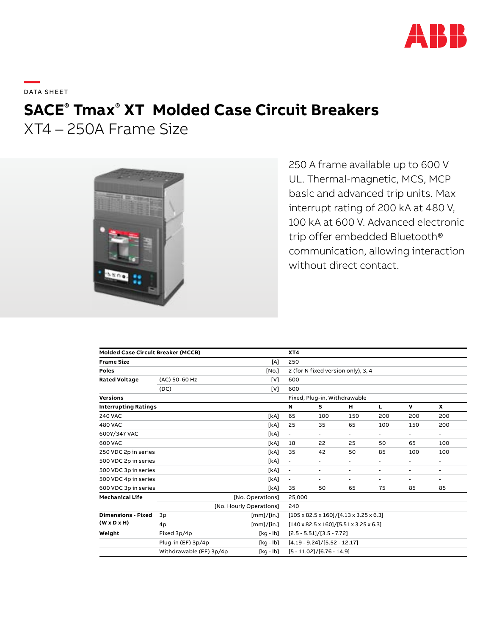

**—**  DATA SHEET

# **SACE® Tmax® XT Molded Case Circuit Breakers**

XT4 – 250A Frame Size



250 A frame available up to 600 V UL. Thermal-magnetic, MCS, MCP basic and advanced trip units. Max interrupt rating of 200 kA at 480 V, 100 kA at 600 V. Advanced electronic trip offer embedded Bluetooth® communication, allowing interaction without direct contact.

| <b>Molded Case Circuit Breaker (MCCB)</b>            |                                |            | XT4                                                          |                                    |                          |        |                          |     |  |
|------------------------------------------------------|--------------------------------|------------|--------------------------------------------------------------|------------------------------------|--------------------------|--------|--------------------------|-----|--|
| <b>Frame Size</b>                                    |                                | [A]        | 250                                                          |                                    |                          |        |                          |     |  |
| <b>Poles</b>                                         |                                | [No.]      |                                                              | 2 (for N fixed version only), 3, 4 |                          |        |                          |     |  |
| <b>Rated Voltage</b>                                 | (AC) 50-60 Hz                  | [V]        | 600                                                          |                                    |                          |        |                          |     |  |
|                                                      | (DC)                           | [V]        | 600                                                          |                                    |                          |        |                          |     |  |
| <b>Versions</b>                                      | Fixed, Plug-in, Withdrawable   |            |                                                              |                                    |                          |        |                          |     |  |
| <b>Interrupting Ratings</b>                          |                                |            | N                                                            | s                                  | н                        | L      | $\mathbf v$              | x   |  |
| <b>240 VAC</b>                                       |                                | [kA]       | 65                                                           | 100                                | 150                      | 200    | 200                      | 200 |  |
| <b>480 VAC</b>                                       |                                | [kA]       | 25                                                           | 35                                 | 65                       | 100    | 150                      | 200 |  |
| 600Y/347 VAC                                         |                                | [kA]       | $\blacksquare$                                               | $\blacksquare$                     | $\blacksquare$           | ۰.     | $\overline{\phantom{a}}$ | Ξ.  |  |
| 600 VAC                                              |                                | [kA]       | 18                                                           | 22                                 | 25                       | 50     | 65                       | 100 |  |
| 250 VDC 2p in series                                 |                                | [kA]       | 35                                                           | 42                                 | 50                       | 85     | 100                      | 100 |  |
| 500 VDC 2p in series                                 |                                | [kA]       | $\blacksquare$                                               | ٠                                  | $\overline{\phantom{a}}$ | ٠      | ٠                        | Ξ.  |  |
| 500 VDC 3p in series                                 |                                | [kA]       | $\overline{\phantom{a}}$                                     | ٠                                  | $\overline{\phantom{a}}$ | ٠      | $\overline{\phantom{a}}$ | Ξ.  |  |
| 500 VDC 4p in series                                 |                                | [kA]       |                                                              |                                    | $\overline{\phantom{a}}$ | $\sim$ | ٠                        | ۰   |  |
| 600 VDC 3p in series                                 |                                | [kA]       | 35                                                           | 50                                 | 65                       | 75     | 85                       | 85  |  |
| <b>Mechanical Life</b>                               |                                | 25,000     |                                                              |                                    |                          |        |                          |     |  |
|                                                      | [No. Hourly Operations]<br>240 |            |                                                              |                                    |                          |        |                          |     |  |
| <b>Dimensions - Fixed</b><br>$(W \times D \times H)$ | 3p                             | [mm]/[in.] | $[105 \times 82.5 \times 160]/[4.13 \times 3.25 \times 6.3]$ |                                    |                          |        |                          |     |  |
|                                                      | 4p                             | [mm]/[in.] | $[140 \times 82.5 \times 160]/[5.51 \times 3.25 \times 6.3]$ |                                    |                          |        |                          |     |  |
| Weight                                               | Fixed 3p/4p                    | [kg - lb]  | $[2.5 - 5.51]/[3.5 - 7.72]$                                  |                                    |                          |        |                          |     |  |
|                                                      | Plug-in (EF) 3p/4p             | [kg - lb]  | $[4.19 - 9.24]/[5.52 - 12.17]$                               |                                    |                          |        |                          |     |  |
|                                                      | Withdrawable (EF) 3p/4p        | [kg - lb]  | $[5 - 11.02]/[6.76 - 14.9]$                                  |                                    |                          |        |                          |     |  |